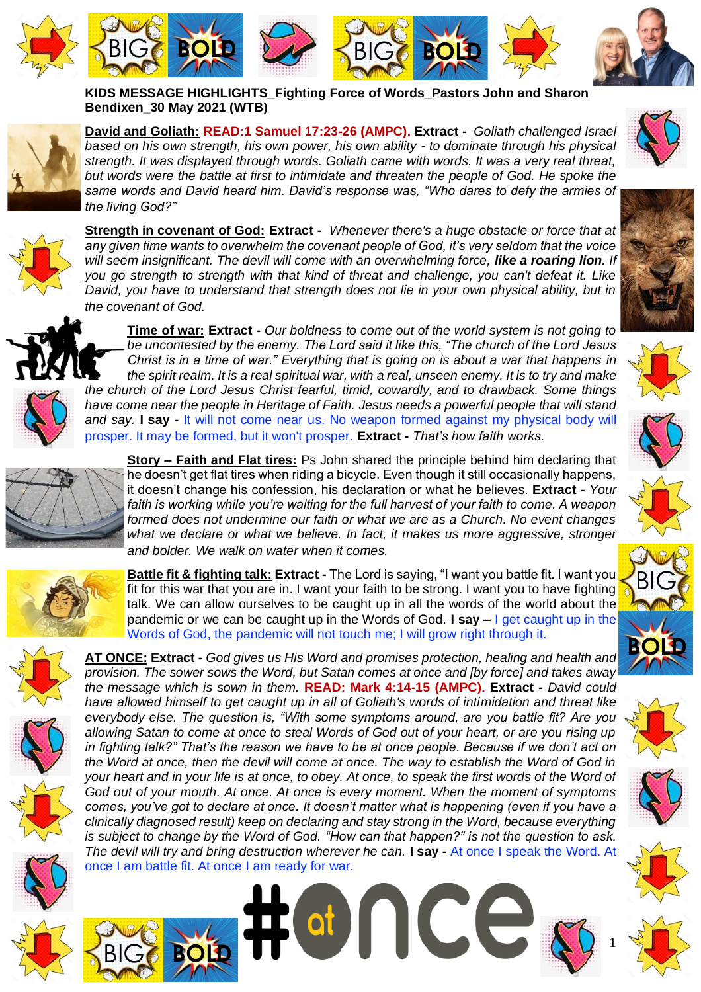

**KIDS MESSAGE HIGHLIGHTS\_Fighting Force of Words\_Pastors John and Sharon Bendixen\_30 May 2021 (WTB)**



**David and Goliath: READ:1 Samuel 17:23-26 (AMPC). Extract -** *Goliath challenged Israel based on his own strength, his own power, his own ability - to dominate through his physical strength. It was displayed through words. Goliath came with words. It was a very real threat, but words were the battle at first to intimidate and threaten the people of God. He spoke the same words and David heard him. David's response was, "Who dares to defy the armies of the living God?"* 



**Strength in covenant of God: Extract -** *Whenever there's a huge obstacle or force that at any given time wants to overwhelm the covenant people of God, it's very seldom that the voice will seem insignificant. The devil will come with an overwhelming force, like a roaring lion. If you go strength to strength with that kind of threat and challenge, you can't defeat it. Like David, you have to understand that strength does not lie in your own physical ability, but in the covenant of God.* 



**Time of war: Extract -** *Our boldness to come out of the world system is not going to be uncontested by the enemy. The Lord said it like this, "The church of the Lord Jesus Christ is in a time of war." Everything that is going on is about a war that happens in the spirit realm. It is a real spiritual war, with a real, unseen enemy. It is to try and make the church of the Lord Jesus Christ fearful, timid, cowardly, and to drawback. Some things have come near the people in Heritage of Faith. Jesus needs a powerful people that will stand and say.* **I say -** It will not come near us. No weapon formed against my physical body will

prosper. It may be formed, but it won't prosper. **Extract -** *That's how faith works.*



**Story – Faith and Flat tires:** Ps John shared the principle behind him declaring that he doesn't get flat tires when riding a bicycle. Even though it still occasionally happens, it doesn't change his confession, his declaration or what he believes. **Extract -** *Your faith is working while you're waiting for the full harvest of your faith to come. A weapon formed does not undermine our faith or what we are as a Church. No event changes*  what we declare or what we believe. In fact, it makes us more aggressive, stronger *and bolder. We walk on water when it comes.* 



**Battle fit & fighting talk: Extract -** The Lord is saying, "I want you battle fit. I want you fit for this war that you are in. I want your faith to be strong. I want you to have fighting talk. We can allow ourselves to be caught up in all the words of the world about the pandemic or we can be caught up in the Words of God. **I say –** I get caught up in the Words of God, the pandemic will not touch me; I will grow right through it.









**BIG <b>BOLD** 

**AT ONCE: Extract -** *God gives us His Word and promises protection, healing and health and provision. The sower sows the Word, but Satan comes at once and [by force] and takes away the message which is sown in them.* **READ: Mark 4:14-15 (AMPC). Extract -** *David could have allowed himself to get caught up in all of Goliath's words of intimidation and threat like everybody else. The question is, "With some symptoms around, are you battle fit? Are you allowing Satan to come at once to steal Words of God out of your heart, or are you rising up in fighting talk?" That's the reason we have to be at once people. Because if we don't act on the Word at once, then the devil will come at once. The way to establish the Word of God in your heart and in your life is at once, to obey. At once, to speak the first words of the Word of God out of your mouth. At once. At once is every moment. When the moment of symptoms comes, you've got to declare at once. It doesn't matter what is happening (even if you have a clinically diagnosed result) keep on declaring and stay strong in the Word, because everything is subject to change by the Word of God. "How can that happen?" is not the question to ask. The devil will try and bring destruction wherever he can.* **I say -** At once I speak the Word. At once I am battle fit. At once I am ready for war.



















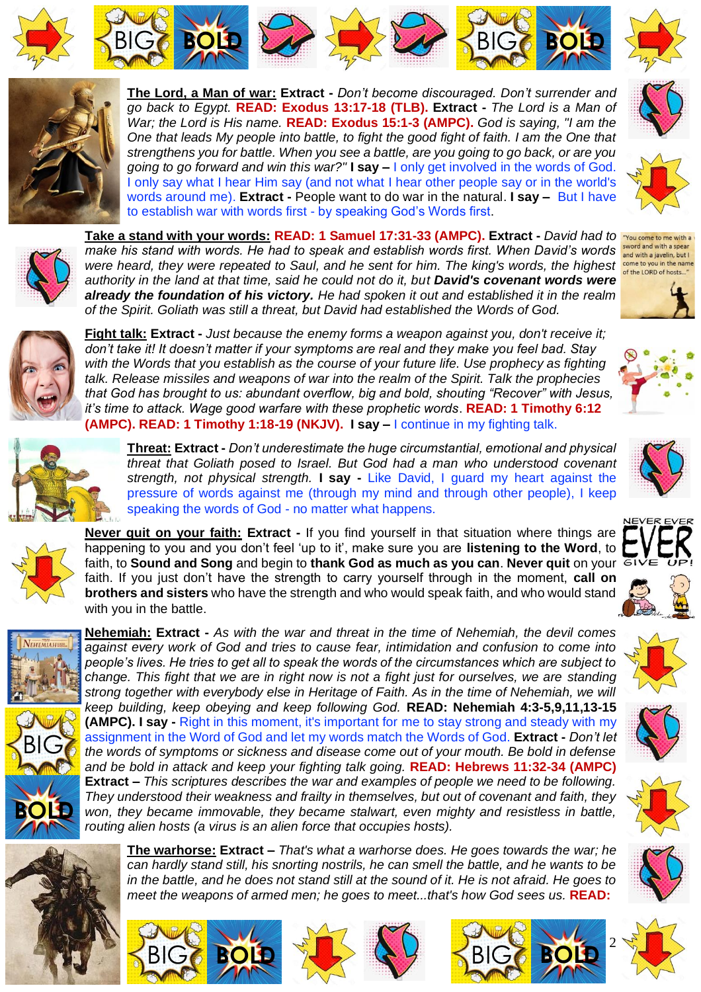











**The Lord, a Man of war: Extract -** *Don't become discouraged. Don't surrender and go back to Egypt.* **READ: Exodus 13:17-18 (TLB). Extract -** *The Lord is a Man of War; the Lord is His name.* **READ: Exodus 15:1-3 (AMPC).** *God is saying, "I am the One that leads My people into battle, to fight the good fight of faith. I am the One that strengthens you for battle. When you see a battle, are you going to go back, or are you going to go forward and win this war?"* **I say –** I only get involved in the words of God. I only say what I hear Him say (and not what I hear other people say or in the world's words around me). **Extract -** People want to do war in the natural. **I say –** But I have to establish war with words first - by speaking God's Words first.



sword and with a spear and with a javelin, but I



**Take a stand with your words: READ: 1 Samuel 17:31-33 (AMPC). Extract -** *David had to make his stand with words. He had to speak and establish words first. When David's words were heard, they were repeated to Saul, and he sent for him. The king's words, the highest* come to you in the name *authority in the land at that time, said he could not do it, but David's covenant words were already the foundation of his victory. He had spoken it out and established it in the realm of the Spirit. Goliath was still a threat, but David had established the Words of God.* 



**Fight talk: Extract -** *Just because the enemy forms a weapon against you, don't receive it; don't take it! It doesn't matter if your symptoms are real and they make you feel bad. Stay with the Words that you establish as the course of your future life. Use prophecy as fighting talk. Release missiles and weapons of war into the realm of the Spirit. Talk the prophecies that God has brought to us: abundant overflow, big and bold, shouting "Recover" with Jesus, it's time to attack. Wage good warfare with these prophetic words*. **READ: 1 Timothy 6:12 (AMPC). READ: 1 Timothy 1:18-19 (NKJV). I say –** I continue in my fighting talk.





**Threat: Extract -** *Don't underestimate the huge circumstantial, emotional and physical threat that Goliath posed to Israel. But God had a man who understood covenant strength, not physical strength.* **I say -** Like David, I guard my heart against the pressure of words against me (through my mind and through other people), I keep speaking the words of God - no matter what happens.



**Never quit on your faith: Extract -** If you find yourself in that situation where things are happening to you and you don't feel 'up to it', make sure you are **listening to the Word**, to faith, to **Sound and Song** and begin to **thank God as much as you can**. **Never quit** on your faith. If you just don't have the strength to carry yourself through in the moment, **call on brothers and sisters** who have the strength and who would speak faith, and who would stand with you in the battle.





**Nehemiah: Extract -** *As with the war and threat in the time of Nehemiah, the devil comes against every work of God and tries to cause fear, intimidation and confusion to come into people's lives. He tries to get all to speak the words of the circumstances which are subject to change. This fight that we are in right now is not a fight just for ourselves, we are standing strong together with everybody else in Heritage of Faith. As in the time of Nehemiah, we will keep building, keep obeying and keep following God.* **READ: Nehemiah 4:3-5,9,11,13-15 (AMPC). I say -** Right in this moment, it's important for me to stay strong and steady with my assignment in the Word of God and let my words match the Words of God. **Extract -** *Don't let the words of symptoms or sickness and disease come out of your mouth. Be bold in defense and be bold in attack and keep your fighting talk going.* **READ: Hebrews 11:32-34 (AMPC) Extract –** *This scriptures describes the war and examples of people we need to be following. They understood their weakness and frailty in themselves, but out of covenant and faith, they won, they became immovable, they became stalwart, even mighty and resistless in battle, routing alien hosts (a virus is an alien force that occupies hosts).* 



**The warhorse: Extract –** *That's what a warhorse does. He goes towards the war; he can hardly stand still, his snorting nostrils, he can smell the battle, and he wants to be in the battle, and he does not stand still at the sound of it. He is not afraid. He goes to meet the weapons of armed men; he goes to meet...that's how God sees us.* **READ:** 

BIGG **BOLD** BUGG BOLD















2